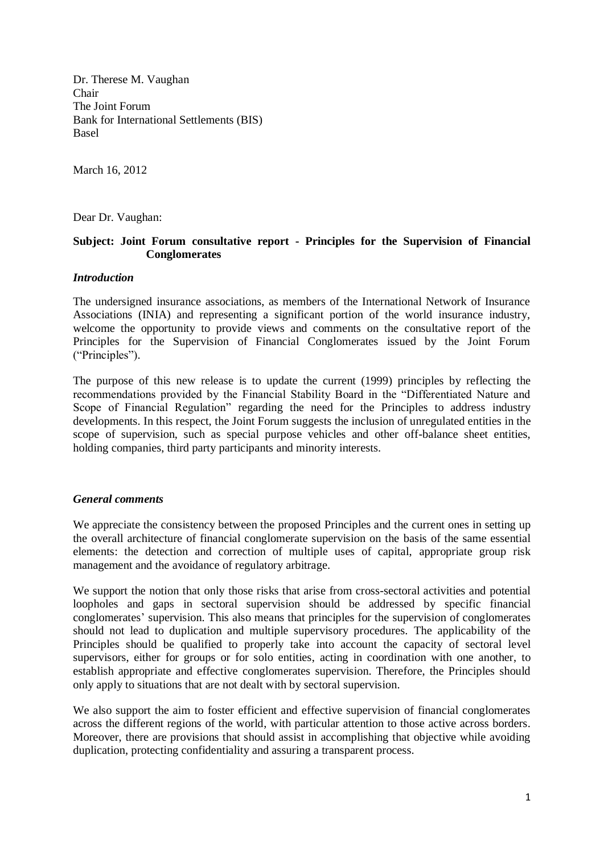Dr. Therese M. Vaughan Chair The Joint Forum Bank for International Settlements (BIS) Basel

March 16, 2012

Dear Dr. Vaughan:

# **Subject: Joint Forum consultative report - Principles for the Supervision of Financial Conglomerates**

## *Introduction*

The undersigned insurance associations, as members of the International Network of Insurance Associations (INIA) and representing a significant portion of the world insurance industry, welcome the opportunity to provide views and comments on the consultative report of the Principles for the Supervision of Financial Conglomerates issued by the Joint Forum ("Principles").

The purpose of this new release is to update the current (1999) principles by reflecting the recommendations provided by the Financial Stability Board in the "Differentiated Nature and Scope of Financial Regulation" regarding the need for the Principles to address industry developments. In this respect, the Joint Forum suggests the inclusion of unregulated entities in the scope of supervision, such as special purpose vehicles and other off-balance sheet entities, holding companies, third party participants and minority interests.

# *General comments*

We appreciate the consistency between the proposed Principles and the current ones in setting up the overall architecture of financial conglomerate supervision on the basis of the same essential elements: the detection and correction of multiple uses of capital, appropriate group risk management and the avoidance of regulatory arbitrage.

We support the notion that only those risks that arise from cross-sectoral activities and potential loopholes and gaps in sectoral supervision should be addressed by specific financial conglomerates' supervision. This also means that principles for the supervision of conglomerates should not lead to duplication and multiple supervisory procedures. The applicability of the Principles should be qualified to properly take into account the capacity of sectoral level supervisors, either for groups or for solo entities, acting in coordination with one another, to establish appropriate and effective conglomerates supervision. Therefore, the Principles should only apply to situations that are not dealt with by sectoral supervision.

We also support the aim to foster efficient and effective supervision of financial conglomerates across the different regions of the world, with particular attention to those active across borders. Moreover, there are provisions that should assist in accomplishing that objective while avoiding duplication, protecting confidentiality and assuring a transparent process.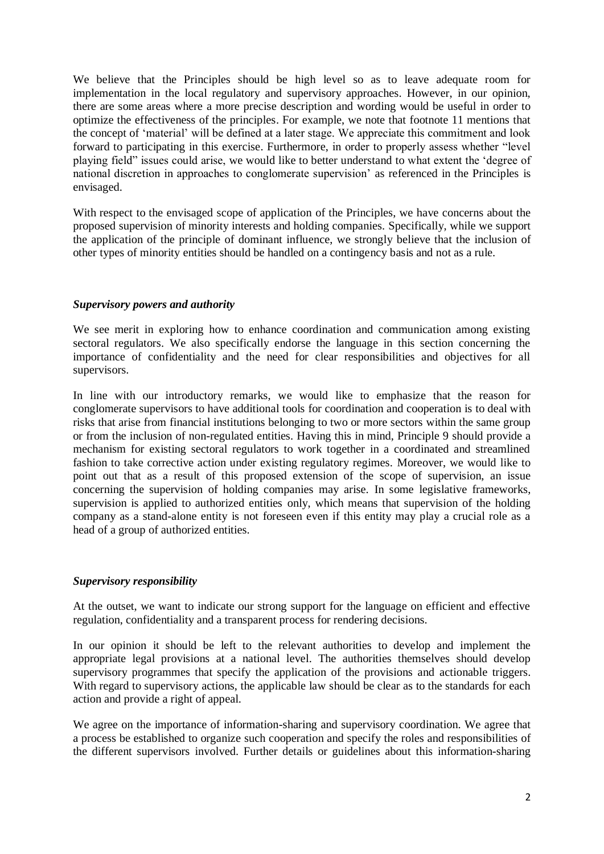We believe that the Principles should be high level so as to leave adequate room for implementation in the local regulatory and supervisory approaches. However, in our opinion, there are some areas where a more precise description and wording would be useful in order to optimize the effectiveness of the principles. For example, we note that footnote 11 mentions that the concept of 'material' will be defined at a later stage. We appreciate this commitment and look forward to participating in this exercise. Furthermore, in order to properly assess whether "level playing field" issues could arise, we would like to better understand to what extent the 'degree of national discretion in approaches to conglomerate supervision' as referenced in the Principles is envisaged.

With respect to the envisaged scope of application of the Principles, we have concerns about the proposed supervision of minority interests and holding companies. Specifically, while we support the application of the principle of dominant influence, we strongly believe that the inclusion of other types of minority entities should be handled on a contingency basis and not as a rule.

# *Supervisory powers and authority*

We see merit in exploring how to enhance coordination and communication among existing sectoral regulators. We also specifically endorse the language in this section concerning the importance of confidentiality and the need for clear responsibilities and objectives for all supervisors.

In line with our introductory remarks, we would like to emphasize that the reason for conglomerate supervisors to have additional tools for coordination and cooperation is to deal with risks that arise from financial institutions belonging to two or more sectors within the same group or from the inclusion of non-regulated entities. Having this in mind, Principle 9 should provide a mechanism for existing sectoral regulators to work together in a coordinated and streamlined fashion to take corrective action under existing regulatory regimes. Moreover, we would like to point out that as a result of this proposed extension of the scope of supervision, an issue concerning the supervision of holding companies may arise. In some legislative frameworks, supervision is applied to authorized entities only, which means that supervision of the holding company as a stand-alone entity is not foreseen even if this entity may play a crucial role as a head of a group of authorized entities.

# *Supervisory responsibility*

At the outset, we want to indicate our strong support for the language on efficient and effective regulation, confidentiality and a transparent process for rendering decisions.

In our opinion it should be left to the relevant authorities to develop and implement the appropriate legal provisions at a national level. The authorities themselves should develop supervisory programmes that specify the application of the provisions and actionable triggers. With regard to supervisory actions, the applicable law should be clear as to the standards for each action and provide a right of appeal.

We agree on the importance of information-sharing and supervisory coordination. We agree that a process be established to organize such cooperation and specify the roles and responsibilities of the different supervisors involved. Further details or guidelines about this information-sharing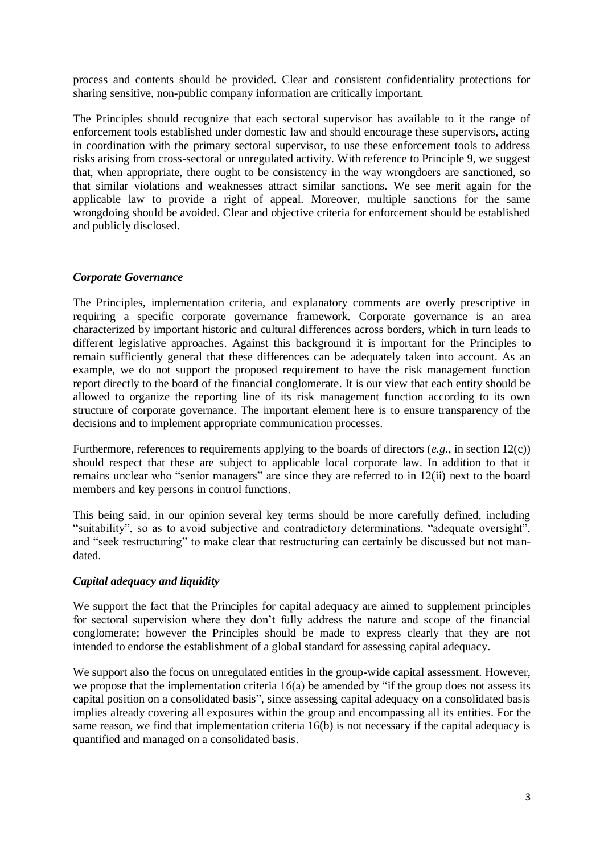process and contents should be provided. Clear and consistent confidentiality protections for sharing sensitive, non-public company information are critically important.

The Principles should recognize that each sectoral supervisor has available to it the range of enforcement tools established under domestic law and should encourage these supervisors, acting in coordination with the primary sectoral supervisor, to use these enforcement tools to address risks arising from cross-sectoral or unregulated activity. With reference to Principle 9, we suggest that, when appropriate, there ought to be consistency in the way wrongdoers are sanctioned, so that similar violations and weaknesses attract similar sanctions. We see merit again for the applicable law to provide a right of appeal. Moreover, multiple sanctions for the same wrongdoing should be avoided. Clear and objective criteria for enforcement should be established and publicly disclosed.

## *Corporate Governance*

The Principles, implementation criteria, and explanatory comments are overly prescriptive in requiring a specific corporate governance framework. Corporate governance is an area characterized by important historic and cultural differences across borders, which in turn leads to different legislative approaches. Against this background it is important for the Principles to remain sufficiently general that these differences can be adequately taken into account. As an example, we do not support the proposed requirement to have the risk management function report directly to the board of the financial conglomerate. It is our view that each entity should be allowed to organize the reporting line of its risk management function according to its own structure of corporate governance. The important element here is to ensure transparency of the decisions and to implement appropriate communication processes.

Furthermore, references to requirements applying to the boards of directors (*e.g.*, in section 12(c)) should respect that these are subject to applicable local corporate law. In addition to that it remains unclear who "senior managers" are since they are referred to in 12(ii) next to the board members and key persons in control functions.

This being said, in our opinion several key terms should be more carefully defined, including "suitability", so as to avoid subjective and contradictory determinations, "adequate oversight", and "seek restructuring" to make clear that restructuring can certainly be discussed but not mandated.

# *Capital adequacy and liquidity*

We support the fact that the Principles for capital adequacy are aimed to supplement principles for sectoral supervision where they don't fully address the nature and scope of the financial conglomerate; however the Principles should be made to express clearly that they are not intended to endorse the establishment of a global standard for assessing capital adequacy.

We support also the focus on unregulated entities in the group-wide capital assessment. However, we propose that the implementation criteria 16(a) be amended by "if the group does not assess its capital position on a consolidated basis", since assessing capital adequacy on a consolidated basis implies already covering all exposures within the group and encompassing all its entities. For the same reason, we find that implementation criteria 16(b) is not necessary if the capital adequacy is quantified and managed on a consolidated basis.